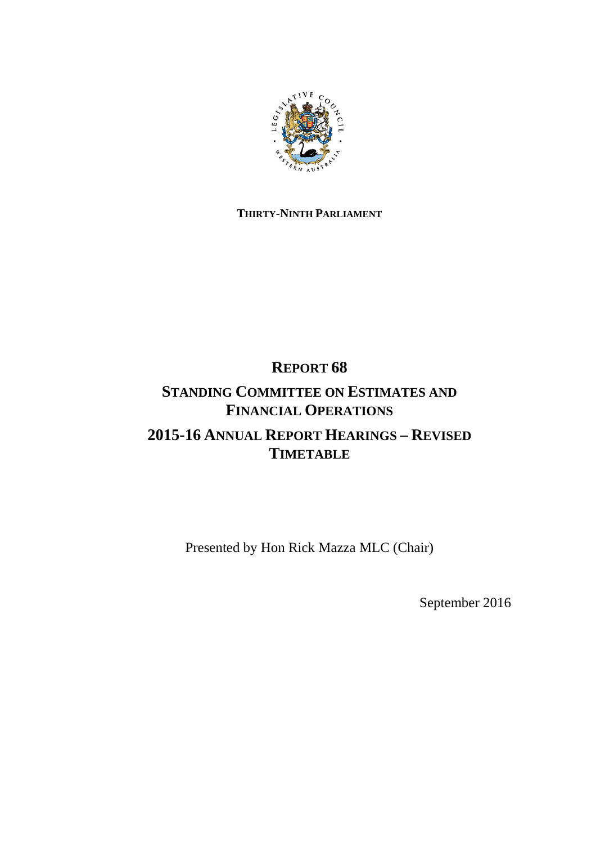

## **THIRTY-NINTH PARLIAMENT**

## **REPORT 68**

# **STANDING COMMITTEE ON ESTIMATES AND FINANCIAL OPERATIONS**

# **2015-16 ANNUAL REPORT HEARINGS – REVISED TIMETABLE**

Presented by Hon Rick Mazza MLC (Chair)

September 2016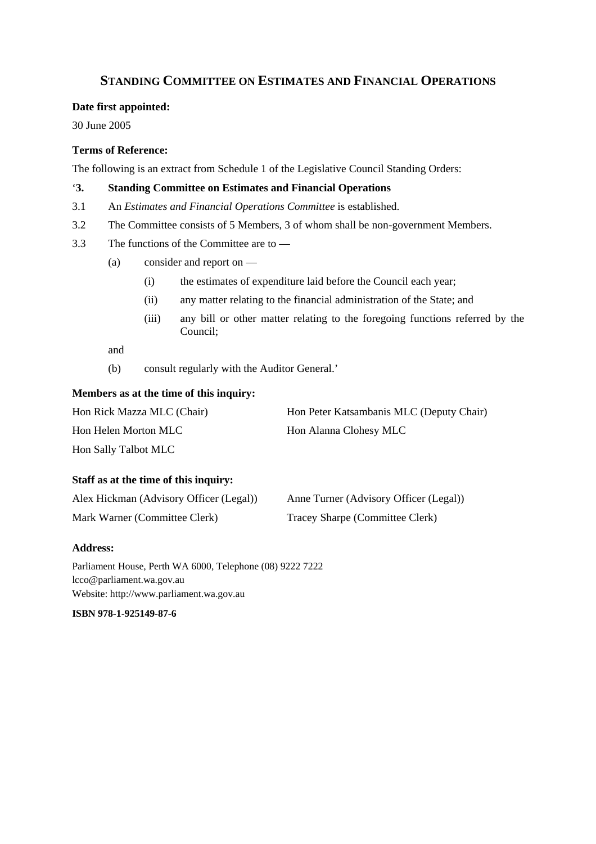### **STANDING COMMITTEE ON ESTIMATES AND FINANCIAL OPERATIONS**

#### **Date first appointed:**

30 June 2005

#### **Terms of Reference:**

The following is an extract from Schedule 1 of the Legislative Council Standing Orders:

#### '**3. Standing Committee on Estimates and Financial Operations**

- 3.1 An *Estimates and Financial Operations Committee* is established.
- 3.2 The Committee consists of 5 Members, 3 of whom shall be non-government Members.
- 3.3 The functions of the Committee are to
	- (a) consider and report on
		- (i) the estimates of expenditure laid before the Council each year;
		- (ii) any matter relating to the financial administration of the State; and
		- (iii) any bill or other matter relating to the foregoing functions referred by the Council;

and

(b) consult regularly with the Auditor General.'

#### **Members as at the time of this inquiry:**

| Hon Rick Mazza MLC (Chair) | Hon Peter Katsambanis MLC (Deputy Chair) |
|----------------------------|------------------------------------------|
| Hon Helen Morton MLC       | Hon Alanna Clohesy MLC                   |
| Hon Sally Talbot MLC       |                                          |

#### **Staff as at the time of this inquiry:**

| Alex Hickman (Advisory Officer (Legal)) | Anne Turner (Advisory Officer (Legal)) |
|-----------------------------------------|----------------------------------------|
| Mark Warner (Committee Clerk)           | Tracey Sharpe (Committee Clerk)        |

#### **Address:**

Parliament House, Perth WA 6000, Telephone (08) 9222 7222 lcco@parliament.wa.gov.au Website: http://www.parliament.wa.gov.au

**ISBN 978-1-925149-87-6**